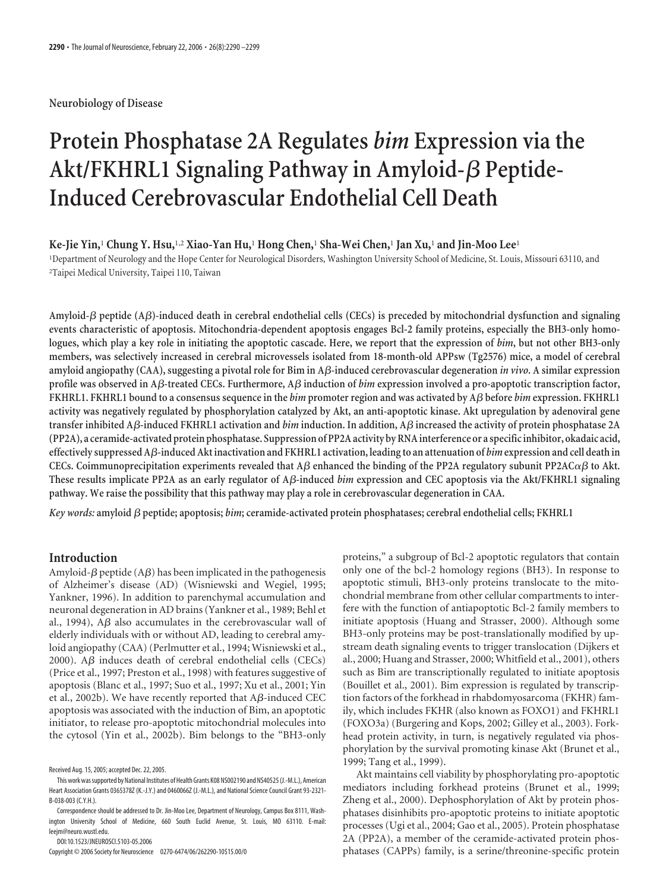# **Neurobiology of Disease**

# **Protein Phosphatase 2A Regulates** *bim* **Expression via the** Akt/FKHRL1 Signaling Pathway in Amyloid- $\beta$  Peptide-**Induced Cerebrovascular Endothelial Cell Death**

#### **Ke-Jie Yin,**<sup>1</sup> **Chung Y. Hsu,**1,2 **Xiao-Yan Hu,**<sup>1</sup> **Hong Chen,**<sup>1</sup> **Sha-Wei Chen,**<sup>1</sup> **Jan Xu,**<sup>1</sup> **and Jin-Moo Lee**<sup>1</sup>

1 Department of Neurology and the Hope Center for Neurological Disorders, Washington University School of Medicine, St. Louis, Missouri 63110, and 2 Taipei Medical University, Taipei 110, Taiwan

**Amyloid- peptide (A)-induced death in cerebral endothelial cells (CECs) is preceded by mitochondrial dysfunction and signaling events characteristic of apoptosis. Mitochondria-dependent apoptosis engages Bcl-2 family proteins, especially the BH3-only homologues, which play a key role in initiating the apoptotic cascade. Here, we report that the expression of** *bim***, but not other BH3-only members, was selectively increased in cerebral microvessels isolated from 18-month-old APPsw (Tg2576) mice, a model of cerebral amyloid angiopathy (CAA), suggesting a pivotal role for Bim in A-induced cerebrovascular degeneration** *in vivo***. A similar expression profile was observed in A-treated CECs. Furthermore, A induction of** *bim* **expression involved a pro-apoptotic transcription factor, FKHRL1. FKHRL1 bound to a consensus sequence in the** *bim* **promoter region and was activated by A before** *bim* **expression. FKHRL1 activity was negatively regulated by phosphorylation catalyzed by Akt, an anti-apoptotic kinase. Akt upregulation by adenoviral gene transfer inhibited A-induced FKHRL1 activation and** *bim* **induction. In addition, A increased the activity of protein phosphatase 2A (PP2A), a ceramide-activated protein phosphatase. Suppression of PP2A activity by RNAinterference or a specificinhibitor, okadaic acid, effectively suppressed A-induced Akt inactivation and FKHRL1 activation, leadingto an attenuation of** *bim***expression and cell death in** CECs. Coimmunoprecipitation experiments revealed that A $\beta$  enhanced the binding of the PP2A regulatory subunit PP2AC $\alpha\beta$  to Akt. **These results implicate PP2A as an early regulator of A-induced** *bim* **expression and CEC apoptosis via the Akt/FKHRL1 signaling pathway. We raise the possibility that this pathway may play a role in cerebrovascular degeneration in CAA.**

*Key words:* **amyloid peptide; apoptosis;** *bim***; ceramide-activated protein phosphatases; cerebral endothelial cells; FKHRL1**

# **Introduction**

Amyloid- $\beta$  peptide (A $\beta$ ) has been implicated in the pathogenesis of Alzheimer's disease (AD) (Wisniewski and Wegiel, 1995; Yankner, 1996). In addition to parenchymal accumulation and neuronal degeneration in AD brains (Yankner et al., 1989; Behl et al., 1994),  $A\beta$  also accumulates in the cerebrovascular wall of elderly individuals with or without AD, leading to cerebral amyloid angiopathy (CAA) (Perlmutter et al., 1994; Wisniewski et al., 2000). A $\beta$  induces death of cerebral endothelial cells (CECs) (Price et al., 1997; Preston et al., 1998) with features suggestive of apoptosis (Blanc et al., 1997; Suo et al., 1997; Xu et al., 2001; Yin et al., 2002b). We have recently reported that  $A\beta$ -induced CEC apoptosis was associated with the induction of Bim, an apoptotic initiator, to release pro-apoptotic mitochondrial molecules into the cytosol (Yin et al., 2002b). Bim belongs to the "BH3-only

DOI:10.1523/JNEUROSCI.5103-05.2006

Copyright © 2006 Society for Neuroscience 0270-6474/06/262290-10\$15.00/0

proteins," a subgroup of Bcl-2 apoptotic regulators that contain only one of the bcl-2 homology regions (BH3). In response to apoptotic stimuli, BH3-only proteins translocate to the mitochondrial membrane from other cellular compartments to interfere with the function of antiapoptotic Bcl-2 family members to initiate apoptosis (Huang and Strasser, 2000). Although some BH3-only proteins may be post-translationally modified by upstream death signaling events to trigger translocation (Dijkers et al., 2000; Huang and Strasser, 2000; Whitfield et al., 2001), others such as Bim are transcriptionally regulated to initiate apoptosis (Bouillet et al., 2001). Bim expression is regulated by transcription factors of the forkhead in rhabdomyosarcoma (FKHR) family, which includes FKHR (also known as FOXO1) and FKHRL1 (FOXO3a) (Burgering and Kops, 2002; Gilley et al., 2003). Forkhead protein activity, in turn, is negatively regulated via phosphorylation by the survival promoting kinase Akt (Brunet et al., 1999; Tang et al., 1999).

Akt maintains cell viability by phosphorylating pro-apoptotic mediators including forkhead proteins (Brunet et al., 1999; Zheng et al., 2000). Dephosphorylation of Akt by protein phosphatases disinhibits pro-apoptotic proteins to initiate apoptotic processes (Ugi et al., 2004; Gao et al., 2005). Protein phosphatase 2A (PP2A), a member of the ceramide-activated protein phosphatases (CAPPs) family, is a serine/threonine-specific protein

Received Aug. 15, 2005; accepted Dec. 22, 2005.

This work wassupported by National Institutes of Health Grants K08 NS002190 and NS40525(J.-M.L.), American Heart Association Grants 0365378Z (K.-J.Y.) and 0460066Z (J.-M.L.), and National Science Council Grant 93-2321- B-038-003 (C.Y.H.).

Correspondence should be addressed to Dr. Jin-Moo Lee, Department of Neurology, Campus Box 8111, Washington University School of Medicine, 660 South Euclid Avenue, St. Louis, MO 63110. E-mail: leejm@neuro.wustl.edu.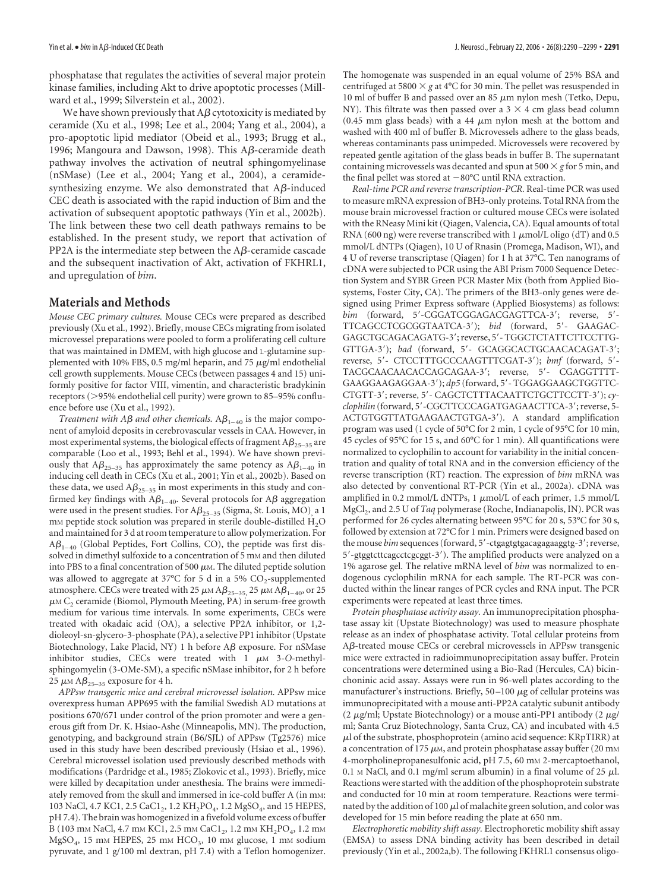phosphatase that regulates the activities of several major protein kinase families, including Akt to drive apoptotic processes (Millward et al., 1999; Silverstein et al., 2002).

We have shown previously that  $A\beta$  cytotoxicity is mediated by ceramide (Xu et al., 1998; Lee et al., 2004; Yang et al., 2004), a pro-apoptotic lipid mediator (Obeid et al., 1993; Brugg et al., 1996; Mangoura and Dawson, 1998). This  $A\beta$ -ceramide death pathway involves the activation of neutral sphingomyelinase (nSMase) (Lee et al., 2004; Yang et al., 2004), a ceramidesynthesizing enzyme. We also demonstrated that  $A\beta$ -induced CEC death is associated with the rapid induction of Bim and the activation of subsequent apoptotic pathways (Yin et al., 2002b). The link between these two cell death pathways remains to be established. In the present study, we report that activation of PP2A is the intermediate step between the  $A\beta$ -ceramide cascade and the subsequent inactivation of Akt, activation of FKHRL1, and upregulation of *bim*.

## **Materials and Methods**

*Mouse CEC primary cultures.* Mouse CECs were prepared as described previously (Xu et al., 1992). Briefly, mouse CECs migrating from isolated microvessel preparations were pooled to form a proliferating cell culture that was maintained in DMEM, with high glucose and L-glutamine supplemented with 10% FBS, 0.5 mg/ml heparin, and 75  $\mu$ g/ml endothelial cell growth supplements. Mouse CECs (between passages 4 and 15) uniformly positive for factor VIII, vimentin, and characteristic bradykinin receptors (>95% endothelial cell purity) were grown to 85–95% confluence before use (Xu et al., 1992).

*Treatment with A* $\beta$  *and other chemicals.*  $A\beta_{1-40}$  is the major component of amyloid deposits in cerebrovascular vessels in CAA. However, in most experimental systems, the biological effects of fragment  $A\beta_{25-35}$  are comparable (Loo et al., 1993; Behl et al., 1994). We have shown previously that  $A\beta_{25-35}$  has approximately the same potency as  $A\beta_{1-40}$  in inducing cell death in CECs (Xu et al., 2001; Yin et al., 2002b). Based on these data, we used  $A\beta_{25-35}$  in most experiments in this study and confirmed key findings with  $A\beta_{1-40}$ . Several protocols for  $A\beta$  aggregation were used in the present studies. For  $A\beta_{25-35}$  (Sigma, St. Louis, MO), a 1 mM peptide stock solution was prepared in sterile double-distilled  $H_2O$ and maintained for 3 d atroom temperature to allow polymerization. For  $A\beta_{1-40}$  (Global Peptides, Fort Collins, CO), the peptide was first dissolved in dimethyl sulfoxide to a concentration of 5 mm and then diluted into PBS to a final concentration of 500  $\mu$ M. The diluted peptide solution was allowed to aggregate at 37°C for 5 d in a 5%  $CO_2$ -supplemented atmosphere. CECs were treated with 25  $\mu$ M A $\beta_{25-35}$ , 25  $\mu$ M A $\beta_{1-40}$ , or 25  $\mu$ M C<sub>2</sub> ceramide (Biomol, Plymouth Meeting, PA) in serum-free growth medium for various time intervals. In some experiments, CECs were treated with okadaic acid (OA), a selective PP2A inhibitor, or 1,2 dioleoyl-sn-glycero-3-phosphate (PA), a selective PP1 inhibitor (Upstate Biotechnology, Lake Placid, NY) 1 h before  $A\beta$  exposure. For nSMase inhibitor studies, CECs were treated with  $1 \mu M$  3-O-methylsphingomyelin (3-OMe-SM), a specific nSMase inhibitor, for 2 h before 25  $\mu$ M A $\beta_{25-35}$  exposure for 4 h.

*APPsw transgenic mice and cerebral microvessel isolation.* APPsw mice overexpress human APP695 with the familial Swedish AD mutations at positions 670/671 under control of the prion promoter and were a generous gift from Dr. K. Hsiao-Ashe (Minneapolis, MN). The production, genotyping, and background strain (B6/SJL) of APPsw (Tg2576) mice used in this study have been described previously (Hsiao et al., 1996). Cerebral microvessel isolation used previously described methods with modifications (Pardridge et al., 1985; Zlokovic et al., 1993). Briefly, mice were killed by decapitation under anesthesia. The brains were immediately removed from the skull and immersed in ice-cold buffer A (in mM: 103 NaCl, 4.7 KC1, 2.5 CaC1<sub>2</sub>, 1.2 KH<sub>2</sub>PO<sub>4</sub>, 1.2 MgSO<sub>4</sub>, and 15 HEPES, pH 7.4). The brain was homogenized in a fivefold volume excess of buffer B (103 mm NaCl, 4.7 mm KC1, 2.5 mm CaC1<sub>2</sub>, 1.2 mm KH<sub>2</sub>PO<sub>4</sub>, 1.2 mm  $MgSO<sub>4</sub>$ , 15 mm HEPES, 25 mm HCO<sub>3</sub>, 10 mm glucose, 1 mm sodium pyruvate, and 1 g/100 ml dextran, pH 7.4) with a Teflon homogenizer.

The homogenate was suspended in an equal volume of 25% BSA and centrifuged at 5800  $\times$  *g* at 4°C for 30 min. The pellet was resuspended in 10 ml of buffer B and passed over an 85  $\mu$ m nylon mesh (Tetko, Depu, NY). This filtrate was then passed over a  $3 \times 4$  cm glass bead column (0.45 mm glass beads) with a 44  $\mu$ m nylon mesh at the bottom and washed with 400 ml of buffer B. Microvessels adhere to the glass beads, whereas contaminants pass unimpeded. Microvessels were recovered by repeated gentle agitation of the glass beads in buffer B. The supernatant containing microvessels was decanted and spun at 500  $\times$  g for 5 min, and the final pellet was stored at  $-80^{\circ}$ C until RNA extraction.

*Real-time PCR and reverse transcription-PCR.* Real-time PCR was used to measure mRNA expression of BH3-only proteins. Total RNA from the mouse brain microvessel fraction or cultured mouse CECs were isolated with the RNeasy Mini kit (Qiagen, Valencia, CA). Equal amounts of total RNA (600 ng) were reverse transcribed with 1  $\mu$ mol/L oligo (dT) and 0.5 mmol/L dNTPs (Qiagen), 10 U of Rnasin (Promega, Madison, WI), and 4 U of reverse transcriptase (Qiagen) for 1 h at 37°C. Ten nanograms of cDNA were subjected to PCR using the ABI Prism 7000 Sequence Detection System and SYBR Green PCR Master Mix (both from Applied Biosystems, Foster City, CA). The primers of the BH3-only genes were designed using Primer Express software (Applied Biosystems) as follows: bim (forward, 5'-CGGATCGGAGACGAGTTCA-3'; reverse, 5'-TTCAGCCTCGCGGTAATCA-3'); *bid* (forward, 5'- GAAGAC-GAGCTGCAGACAGATG-3'; reverse, 5' - TGGCTCTATTCTTCCTTG-GTTGA-3'); *bad* (forward, 5'- GCAGGCACTGCAACACAGAT-3'; reverse, 5- CTCCTTTGCCCAAGTTTCGAT-3); *bmf* (forward, 5- TACGCAACAACACCAGCAGAA-3; reverse, 5- CGAGGTTTT-GAAGGAAGAGGAA-3');  $dp5$  (forward, 5'-TGGAGGAAGCTGGTTC-CTGTT-3'; reverse, 5'- CAGCTCTTTACAATTCTGCTTCCTT-3'); cy*clophilin* (forward, 5-CGCTTCCCAGATGAGAACTTCA-3; reverse, 5- ACTGTGGTTATGAAGAACTGTGA-3). A standard amplification program was used (1 cycle of 50°C for 2 min, 1 cycle of 95°C for 10 min, 45 cycles of 95°C for 15 s, and 60°C for 1 min). All quantifications were normalized to cyclophilin to account for variability in the initial concentration and quality of total RNA and in the conversion efficiency of the reverse transcription (RT) reaction. The expression of *bim* mRNA was also detected by conventional RT-PCR (Yin et al., 2002a). cDNA was amplified in 0.2 mmol/L dNTPs, 1  $\mu$ mol/L of each primer, 1.5 mmol/L MgCl<sub>2</sub>, and 2.5 U of *Taq* polymerase (Roche, Indianapolis, IN). PCR was performed for 26 cycles alternating between 95°C for 20 s, 53°C for 30 s, followed by extension at 72°C for 1 min. Primers were designed based on the mouse *bim* sequences (forward, 5'-ctgagtgtgacagagaaggtg-3'; reverse, 5-gtggtcttcagcctcgcggt-3). The amplified products were analyzed on a 1% agarose gel. The relative mRNA level of *bim* was normalized to endogenous cyclophilin mRNA for each sample. The RT-PCR was conducted within the linear ranges of PCR cycles and RNA input. The PCR experiments were repeated at least three times.

*Protein phosphatase activity assay.* An immunoprecipitation phosphatase assay kit (Upstate Biotechnology) was used to measure phosphate release as an index of phosphatase activity. Total cellular proteins from  $A\beta$ -treated mouse CECs or cerebral microvessels in APPsw transgenic mice were extracted in radioimmunoprecipitation assay buffer. Protein concentrations were determined using a Bio-Rad (Hercules, CA) bicinchoninic acid assay. Assays were run in 96-well plates according to the manufacturer's instructions. Briefly,  $50-100 \mu$ g of cellular proteins was immunoprecipitated with a mouse anti-PP2A catalytic subunit antibody (2  $\mu$ g/ml; Upstate Biotechnology) or a mouse anti-PP1 antibody (2  $\mu$ g/ ml; Santa Cruz Biotechnology, Santa Cruz, CA) and incubated with 4.5  $\mu$ l of the substrate, phosphoprotein (amino acid sequence: KRpTIRR) at a concentration of 175  $\mu$ M, and protein phosphatase assay buffer (20 mM 4-morpholinepropanesulfonic acid, pH 7.5, 60 mm 2-mercaptoethanol, 0.1 M NaCl, and 0.1 mg/ml serum albumin) in a final volume of 25  $\mu$ l. Reactions were started with the addition of the phosphoprotein substrate and conducted for 10 min at room temperature. Reactions were terminated by the addition of 100  $\mu$ l of malachite green solution, and color was developed for 15 min before reading the plate at 650 nm.

*Electrophoretic mobility shift assay.* Electrophoretic mobility shift assay (EMSA) to assess DNA binding activity has been described in detail previously (Yin et al., 2002a,b). The following FKHRL1 consensus oligo-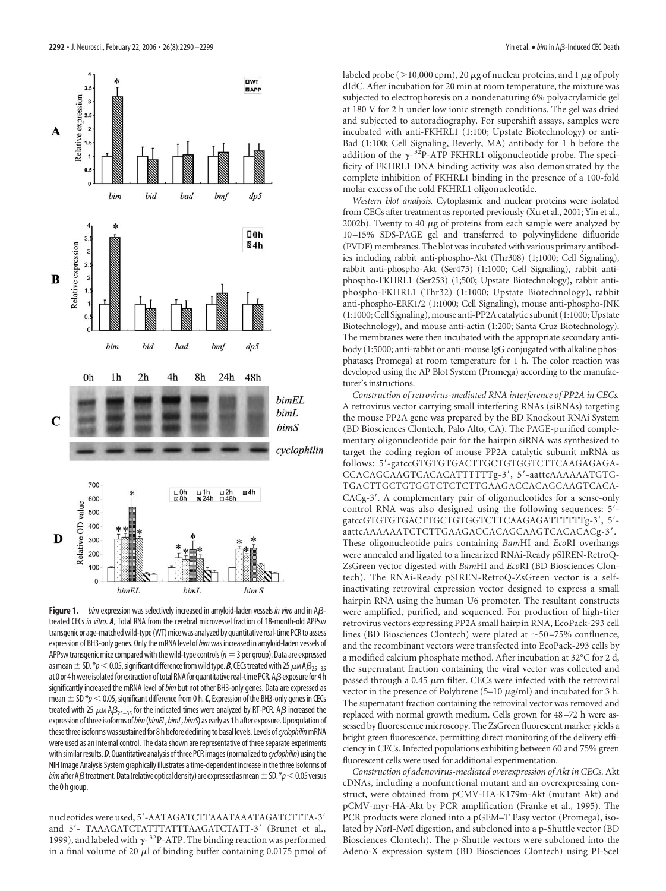

**Figure 1.** *bim* expression was selectively increased in amyloid-laden vessels in vivo and in Aßtreated CECs *in vitro*. *A*, Total RNA from the cerebral microvessel fraction of 18-month-old APPsw transgenic or age-matched wild-type (WT) mice was analyzed by quantitative real-time PCR to assess expression of BH3-only genes. Only the mRNA level of *bim* was increased in amyloid-laden vessels of APPsw transgenic mice compared with the wild-type controls ( $n=3$  per group). Data are expressed as mean  $\pm$  SD.  $*p$  < 0.05, significant difference from wild type. **B**, CECs treated with 25  $\mu$ MA $\beta$ <sub>25–35</sub> at 0 or 4 h were isolated for extraction of total RNA for quantitative real-time PCR. A $\beta$  exposure for 4 h significantly increased the mRNA level of*bim* but not other BH3-only genes. Data are expressed as mean  $\pm$  SD  $*\!p$  < 0.05, significant difference from 0 h. **C**, Expression of the BH3-only genes in CECs treated with 25  $\mu$ M A $\beta_{25-35}$  for the indicated times were analyzed by RT-PCR. A $\beta$  increased the expression ofthree isoforms of*bim*(*bimEL*,*bimL*,*bimS*) as early as 1h after exposure.Upregulation of these three isoforms was sustained for 8 h before declining to basal levels. Levels of *cyclophilin* mRNA were used as an internal control. The data shown are representative of three separate experiments with similar results. *D*, Quantitative analysis of three PCR images (normalized to cyclophilin) using the NIH Image Analysis System graphically illustrates a time-dependent increase in the three isoforms of *bim* after A $\beta$  treatment. Data (relative optical density) are expressed as mean  $\pm$  SD.  $*p$  < 0.05 versus the 0 h group.

nucleotides were used, 5-AATAGATCTTAAATAAATAGATCTTTA-3 and 5'- TAAAGATCTATTTATTTAAGATCTATT-3' (Brunet et al., 1999), and labeled with  $\gamma$ -<sup>32</sup>P-ATP. The binding reaction was performed in a final volume of 20  $\mu$ l of binding buffer containing 0.0175 pmol of labeled probe ( $>$ 10,000 cpm), 20  $\mu$ g of nuclear proteins, and 1  $\mu$ g of poly dIdC. After incubation for 20 min at room temperature, the mixture was subjected to electrophoresis on a nondenaturing 6% polyacrylamide gel at 180 V for 2 h under low ionic strength conditions. The gel was dried and subjected to autoradiography. For supershift assays, samples were incubated with anti-FKHRL1 (1:100; Upstate Biotechnology) or anti-Bad (1:100; Cell Signaling, Beverly, MA) antibody for 1 h before the addition of the  $\gamma$ -<sup>32</sup>P-ATP FKHRL1 oligonucleotide probe. The specificity of FKHRL1 DNA binding activity was also demonstrated by the complete inhibition of FKHRL1 binding in the presence of a 100-fold molar excess of the cold FKHRL1 oligonucleotide.

*Western blot analysis.* Cytoplasmic and nuclear proteins were isolated from CECs after treatment as reported previously (Xu et al., 2001; Yin et al., 2002b). Twenty to 40  $\mu$ g of proteins from each sample were analyzed by 10 –15% SDS-PAGE gel and transferred to polyvinylidene difluoride (PVDF) membranes. The blot was incubated with various primary antibodies including rabbit anti-phospho-Akt (Thr308) (1;1000; Cell Signaling), rabbit anti-phospho-Akt (Ser473) (1:1000; Cell Signaling), rabbit antiphospho-FKHRL1 (Ser253) (1;500; Upstate Biotechnology), rabbit antiphospho-FKHRL1 (Thr32) (1:1000; Upstate Biotechnology), rabbit anti-phospho-ERK1/2 (1:1000; Cell Signaling), mouse anti-phospho-JNK (1:1000; Cell Signaling), mouse anti-PP2A catalytic subunit (1:1000; Upstate Biotechnology), and mouse anti-actin (1:200; Santa Cruz Biotechnology). The membranes were then incubated with the appropriate secondary antibody (1:5000; anti-rabbit or anti-mouse IgG conjugated with alkaline phosphatase; Promega) at room temperature for 1 h. The color reaction was developed using the AP Blot System (Promega) according to the manufacturer's instructions.

*Construction of retrovirus-mediated RNA interference of PP2A in CECs.* A retrovirus vector carrying small interfering RNAs (siRNAs) targeting the mouse PP2A gene was prepared by the BD Knockout RNAi System (BD Biosciences Clontech, Palo Alto, CA). The PAGE-purified complementary oligonucleotide pair for the hairpin siRNA was synthesized to target the coding region of mouse PP2A catalytic subunit mRNA as follows: 5'-gatccGTGTGTGACTTGCTGTGGTCTTCAAGAGAGA-CCACAGCAAGTCACACATTTTTTg-3', 5'-aattcAAAAAAATGTG-TGACTTGCTGTGGTCTCTCTTGAAGACCACAGCAAGTCACA-CACg-3'. A complementary pair of oligonucleotides for a sense-only control RNA was also designed using the following sequences: 5'gatccGTGTGTGACTTGCTGTGGTCTTCAAGAGATTTTTTg-3', 5'aattcAAAAAATCTCTTGAAGACCACAGCAAGTCACACACg-3'. These oligonucleotide pairs containing *Bam*HI and *Eco*RI overhangs were annealed and ligated to a linearized RNAi-Ready pSIREN-RetroQ-ZsGreen vector digested with *Bam*HI and *Eco*RI (BD Biosciences Clontech). The RNAi-Ready pSIREN-RetroQ-ZsGreen vector is a selfinactivating retroviral expression vector designed to express a small hairpin RNA using the human U6 promoter. The resultant constructs were amplified, purified, and sequenced. For production of high-titer retrovirus vectors expressing PP2A small hairpin RNA, EcoPack-293 cell lines (BD Biosciences Clontech) were plated at  $\sim$  50–75% confluence, and the recombinant vectors were transfected into EcoPack-293 cells by a modified calcium phosphate method. After incubation at 32°C for 2 d, the supernatant fraction containing the viral vector was collected and passed through a 0.45  $\mu$ m filter. CECs were infected with the retroviral vector in the presence of Polybrene (5–10  $\mu$ g/ml) and incubated for 3 h. The supernatant fraction containing the retroviral vector was removed and replaced with normal growth medium. Cells grown for 48 –72 h were assessed by fluorescence microscopy. The ZsGreen fluorescent marker yields a bright green fluorescence, permitting direct monitoring of the delivery efficiency in CECs. Infected populations exhibiting between 60 and 75% green fluorescent cells were used for additional experimentation.

*Construction of adenovirus-mediated overexpression of Akt in CECs.* Akt cDNAs, including a nonfunctional mutant and an overexpressing construct, were obtained from pCMV-HA-K179m-Akt (mutant Akt) and pCMV-myr-HA-Akt by PCR amplification (Franke et al., 1995). The PCR products were cloned into a pGEM–T Easy vector (Promega), isolated by *Not*I-*Not*I digestion, and subcloned into a p-Shuttle vector (BD Biosciences Clontech). The p-Shuttle vectors were subcloned into the Adeno-X expression system (BD Biosciences Clontech) using PI-SceI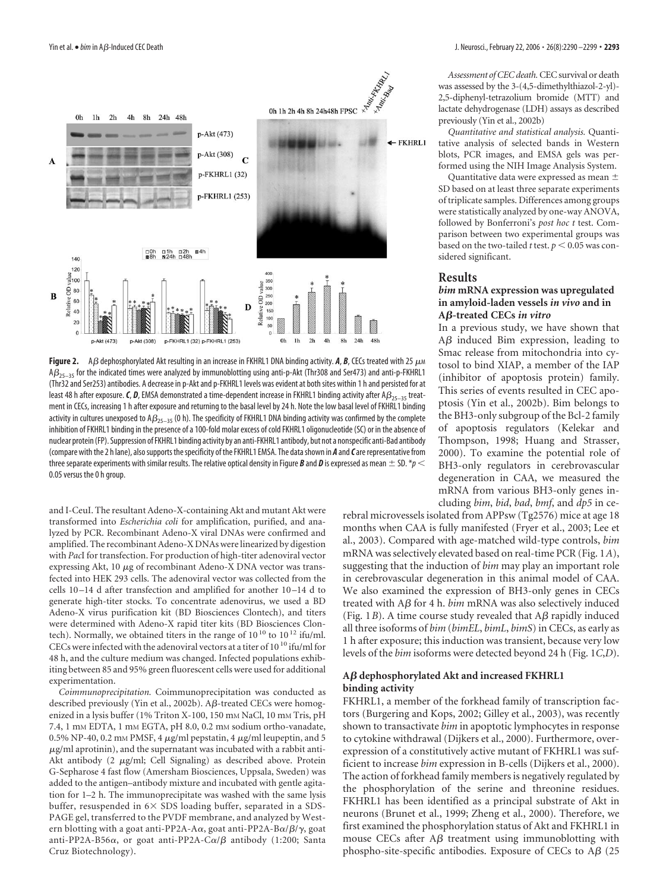

**Figure 2.** A  $\beta$  dephosphorylated Akt resulting in an increase in FKHRL1 DNA binding activity. A, B, CECs treated with 25  $\mu$ M  $AG_{25-35}$  for the indicated times were analyzed by immunoblotting using anti-p-Akt (Thr308 and Ser473) and anti-p-FKHRL1 (Thr32 and Ser253) antibodies. A decrease in p-Akt and p-FKHRL1 levels was evident at both sites within 1 h and persisted for at least 48 h after exposure. C, D, EMSA demonstrated a time-dependent increase in FKHRL1 binding activity after A $\beta_{25-35}$  treatment in CECs, increasing 1 h after exposure and returning to the basal level by 24 h. Note the low basal level of FKHRL1 binding activity in cultures unexposed to  $AB_{25-35}$  (0 h). The specificity of FKHRL1 DNA binding activity was confirmed by the complete inhibition of FKHRL1 binding in the presence of a 100-fold molar excess of cold FKHRL1 oligonucleotide (SC) or in the absence of nuclear protein (FP). Suppression of FKHRL1 binding activity by an anti-FKHRL1 antibody, but not a nonspecific anti-Bad antibody (compare with the 2 h lane), alsosupports thespecificity of the FKHRL1 EMSA. The datashown in *A* and*C*are representative from three separate experiments with similar results. The relative optical density in Figure **B** and **D** is expressed as mean  $\pm$  SD. \*p < 0.05 versus the 0 h group.

and I-CeuI. The resultant Adeno-X-containing Akt and mutant Akt were transformed into *Escherichia coli* for amplification, purified, and analyzed by PCR. Recombinant Adeno-X viral DNAs were confirmed and amplified. The recombinant Adeno-X DNAs were linearized by digestion with *Pac*I for transfection. For production of high-titer adenoviral vector expressing Akt,  $10 \mu$ g of recombinant Adeno-X DNA vector was transfected into HEK 293 cells. The adenoviral vector was collected from the cells 10 –14 d after transfection and amplified for another 10 –14 d to generate high-titer stocks. To concentrate adenovirus, we used a BD Adeno-X virus purification kit (BD Biosciences Clontech), and titers were determined with Adeno-X rapid titer kits (BD Biosciences Clontech). Normally, we obtained titers in the range of  $10^{10}$  to  $10^{12}$  ifu/ml. CECs were infected with the adenoviral vectors at a titer of  $10^{10}$  ifu/ml for 48 h, and the culture medium was changed. Infected populations exhibiting between 85 and 95% green fluorescent cells were used for additional experimentation.

*Coimmunoprecipitation.* Coimmunoprecipitation was conducted as described previously (Yin et al., 2002b). A $\beta$ -treated CECs were homogenized in a lysis buffer (1% Triton X-100, 150 mm NaCl, 10 mm Tris, pH 7.4, 1 mM EDTA, 1 mM EGTA, pH 8.0, 0.2 mM sodium ortho-vanadate, 0.5% NP-40, 0.2 mm PMSF, 4  $\mu$ g/ml pepstatin, 4  $\mu$ g/ml leupeptin, and 5  $\mu$ g/ml aprotinin), and the supernatant was incubated with a rabbit anti-Akt antibody  $(2 \mu g/ml;$  Cell Signaling) as described above. Protein G-Sepharose 4 fast flow (Amersham Biosciences, Uppsala, Sweden) was added to the antigen–antibody mixture and incubated with gentle agitation for 1–2 h. The immunoprecipitate was washed with the same lysis buffer, resuspended in  $6\times$  SDS loading buffer, separated in a SDS-PAGE gel, transferred to the PVDF membrane, and analyzed by Western blotting with a goat anti-PP2A-A $\alpha$ , goat anti-PP2A-B $\alpha/\beta/\gamma$ , goat anti-PP2A-B56α, or goat anti-PP2A-Cα/β antibody (1:200; Santa Cruz Biotechnology).

*Assessment of CEC death.*CEC survival or death was assessed by the 3-(4,5-dimethylthiazol-2-yl)- 2,5-diphenyl-tetrazolium bromide (MTT) and lactate dehydrogenase (LDH) assays as described previously (Yin et al., 2002b)

*Quantitative and statistical analysis.* Quantitative analysis of selected bands in Western blots, PCR images, and EMSA gels was performed using the NIH Image Analysis System.

Quantitative data were expressed as mean  $\pm$ SD based on at least three separate experiments of triplicate samples. Differences among groups were statistically analyzed by one-way ANOVA, followed by Bonferroni's *post hoc t* test. Comparison between two experimental groups was based on the two-tailed *t* test.  $p < 0.05$  was considered significant.

#### **Results**

#### *bim* **mRNA expression was upregulated in amyloid-laden vessels** *in vivo* **and in A-treated CECs** *in vitro*

In a previous study, we have shown that  $A\beta$  induced Bim expression, leading to Smac release from mitochondria into cytosol to bind XIAP, a member of the IAP (inhibitor of apoptosis protein) family. This series of events resulted in CEC apoptosis (Yin et al., 2002b). Bim belongs to the BH3-only subgroup of the Bcl-2 family of apoptosis regulators (Kelekar and Thompson, 1998; Huang and Strasser, 2000). To examine the potential role of BH3-only regulators in cerebrovascular degeneration in CAA, we measured the mRNA from various BH3-only genes including *bim*, *bid*, *bad*, *bmf*, and *dp5* in ce-

rebral microvessels isolated from APPsw (Tg2576) mice at age 18 months when CAA is fully manifested (Fryer et al., 2003; Lee et al., 2003). Compared with age-matched wild-type controls, *bim* mRNA was selectively elevated based on real-time PCR (Fig. 1*A*), suggesting that the induction of *bim* may play an important role in cerebrovascular degeneration in this animal model of CAA. We also examined the expression of BH3-only genes in CECs treated with  $\overrightarrow{AB}$  for 4 h. *bim* mRNA was also selectively induced (Fig. 1*B*). A time course study revealed that  $\mathbf{A}\boldsymbol{\beta}$  rapidly induced all three isoforms of *bim* (*bimEL*, *bimL*, *bimS*) in CECs, as early as 1 h after exposure; this induction was transient, because very low levels of the *bim* isoforms were detected beyond 24 h (Fig. 1*C*,*D*).

#### **A dephosphorylated Akt and increased FKHRL1 binding activity**

FKHRL1, a member of the forkhead family of transcription factors (Burgering and Kops, 2002; Gilley et al., 2003), was recently shown to transactivate *bim* in apoptotic lymphocytes in response to cytokine withdrawal (Dijkers et al., 2000). Furthermore, overexpression of a constitutively active mutant of FKHRL1 was sufficient to increase *bim* expression in B-cells (Dijkers et al., 2000). The action of forkhead family members is negatively regulated by the phosphorylation of the serine and threonine residues. FKHRL1 has been identified as a principal substrate of Akt in neurons (Brunet et al., 1999; Zheng et al., 2000). Therefore, we first examined the phosphorylation status of Akt and FKHRL1 in mouse CECs after  $A\beta$  treatment using immunoblotting with phospho-site-specific antibodies. Exposure of CECs to  $\overrightarrow{AB}$  (25)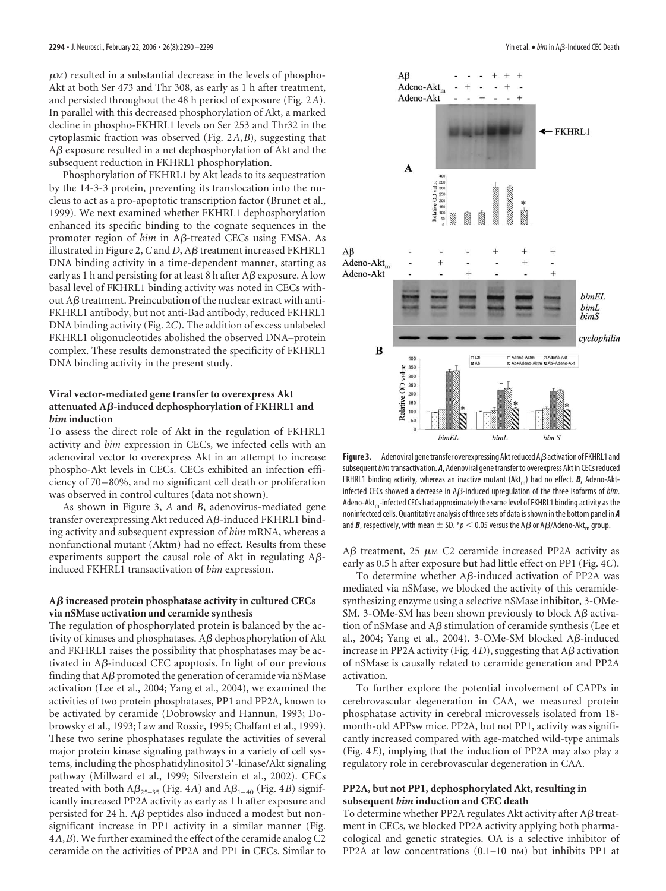$\mu$ M) resulted in a substantial decrease in the levels of phospho-Akt at both Ser 473 and Thr 308, as early as 1 h after treatment, and persisted throughout the 48 h period of exposure (Fig. 2*A*). In parallel with this decreased phosphorylation of Akt, a marked decline in phospho-FKHRL1 levels on Ser 253 and Thr32 in the cytoplasmic fraction was observed (Fig. 2*A*,*B*), suggesting that  $\Delta\beta$  exposure resulted in a net dephosphorylation of Akt and the subsequent reduction in FKHRL1 phosphorylation.

Phosphorylation of FKHRL1 by Akt leads to its sequestration by the 14-3-3 protein, preventing its translocation into the nucleus to act as a pro-apoptotic transcription factor (Brunet et al., 1999). We next examined whether FKHRL1 dephosphorylation enhanced its specific binding to the cognate sequences in the promoter region of *bim* in Aß-treated CECs using EMSA. As illustrated in Figure 2,  $C$  and  $D$ ,  $A\beta$  treatment increased FKHRL1 DNA binding activity in a time-dependent manner, starting as early as 1 h and persisting for at least 8 h after  $\overline{AB}$  exposure. A low basal level of FKHRL1 binding activity was noted in CECs without  $A\beta$  treatment. Preincubation of the nuclear extract with anti-FKHRL1 antibody, but not anti-Bad antibody, reduced FKHRL1 DNA binding activity (Fig. 2*C*). The addition of excess unlabeled FKHRL1 oligonucleotides abolished the observed DNA–protein complex. These results demonstrated the specificity of FKHRL1 DNA binding activity in the present study.

### **Viral vector-mediated gene transfer to overexpress Akt attenuated A-induced dephosphorylation of FKHRL1 and** *bim* **induction**

To assess the direct role of Akt in the regulation of FKHRL1 activity and *bim* expression in CECs, we infected cells with an adenoviral vector to overexpress Akt in an attempt to increase phospho-Akt levels in CECs. CECs exhibited an infection efficiency of 70 –80%, and no significant cell death or proliferation was observed in control cultures (data not shown).

As shown in Figure 3, *A* and *B*, adenovirus-mediated gene transfer overexpressing Akt reduced  $\overline{AB}$ -induced FKHRL1 binding activity and subsequent expression of *bim* mRNA, whereas a nonfunctional mutant (Aktm) had no effect. Results from these experiments support the causal role of Akt in regulating  $A\beta$ induced FKHRL1 transactivation of *bim* expression.

### **A increased protein phosphatase activity in cultured CECs via nSMase activation and ceramide synthesis**

The regulation of phosphorylated protein is balanced by the activity of kinases and phosphatases.  $A\beta$  dephosphorylation of Akt and FKHRL1 raises the possibility that phosphatases may be activated in  $A\beta$ -induced CEC apoptosis. In light of our previous finding that  $A\beta$  promoted the generation of ceramide via nSMase activation (Lee et al., 2004; Yang et al., 2004), we examined the activities of two protein phosphatases, PP1 and PP2A, known to be activated by ceramide (Dobrowsky and Hannun, 1993; Dobrowsky et al., 1993; Law and Rossie, 1995; Chalfant et al., 1999). These two serine phosphatases regulate the activities of several major protein kinase signaling pathways in a variety of cell systems, including the phosphatidylinositol 3'-kinase/Akt signaling pathway (Millward et al., 1999; Silverstein et al., 2002). CECs treated with both  $A\beta_{25-35}$  (Fig. 4*A*) and  $A\beta_{1-40}$  (Fig. 4*B*) significantly increased PP2A activity as early as 1 h after exposure and persisted for 24 h.  $\mathbf{A}\boldsymbol{\beta}$  peptides also induced a modest but nonsignificant increase in PP1 activity in a similar manner (Fig. 4*A*,*B*). We further examined the effect of the ceramide analog C2 ceramide on the activities of PP2A and PP1 in CECs. Similar to



**Figure 3.** Adenoviral gene transfer overexpressing Akt reduced  $\overline{AB}$  activation of FKHRL1 and subsequent*bim*transactivation. *A*, Adenoviral genetransferto overexpress Akt in CECs reduced FKHRL1 binding activity, whereas an inactive mutant ( $\text{Akt}_{\text{m}}$ ) had no effect. **B**, Adeno-Aktinfected CECs showed a decrease in A<sub>B</sub>-induced upregulation of the three isoforms of *bim*. Adeno-Akt<sub>m</sub>-infected CECs had approximately the same level of FKHRL1 binding activity as the noninfectced cells. Quantitative analysis of threesets of data isshown in the bottom panel in *A* and **B**, respectively, with mean  $\pm$  SD. \*p < 0.05 versus the A $\beta$  or A $\beta$ /Adeno-Akt<sub>m</sub> group.

 $A\beta$  treatment, 25  $\mu$ M C2 ceramide increased PP2A activity as early as 0.5 h after exposure but had little effect on PP1 (Fig. 4*C*).

To determine whether  $A\beta$ -induced activation of PP2A was mediated via nSMase, we blocked the activity of this ceramidesynthesizing enzyme using a selective nSMase inhibitor, 3-OMe-SM. 3-OMe-SM has been shown previously to block  $A\beta$  activation of nSMase and  $A\beta$  stimulation of ceramide synthesis (Lee et al., 2004; Yang et al., 2004). 3-OMe-SM blocked A $\beta$ -induced increase in PP2A activity (Fig.  $4D$ ), suggesting that  $A\beta$  activation of nSMase is causally related to ceramide generation and PP2A activation.

To further explore the potential involvement of CAPPs in cerebrovascular degeneration in CAA, we measured protein phosphatase activity in cerebral microvessels isolated from 18 month-old APPsw mice. PP2A, but not PP1, activity was significantly increased compared with age-matched wild-type animals (Fig. 4*E*), implying that the induction of PP2A may also play a regulatory role in cerebrovascular degeneration in CAA.

# **PP2A, but not PP1, dephosphorylated Akt, resulting in subsequent** *bim* **induction and CEC death**

To determine whether PP2A regulates Akt activity after  $A\beta$  treatment in CECs, we blocked PP2A activity applying both pharmacological and genetic strategies. OA is a selective inhibitor of PP2A at low concentrations (0.1-10 nm) but inhibits PP1 at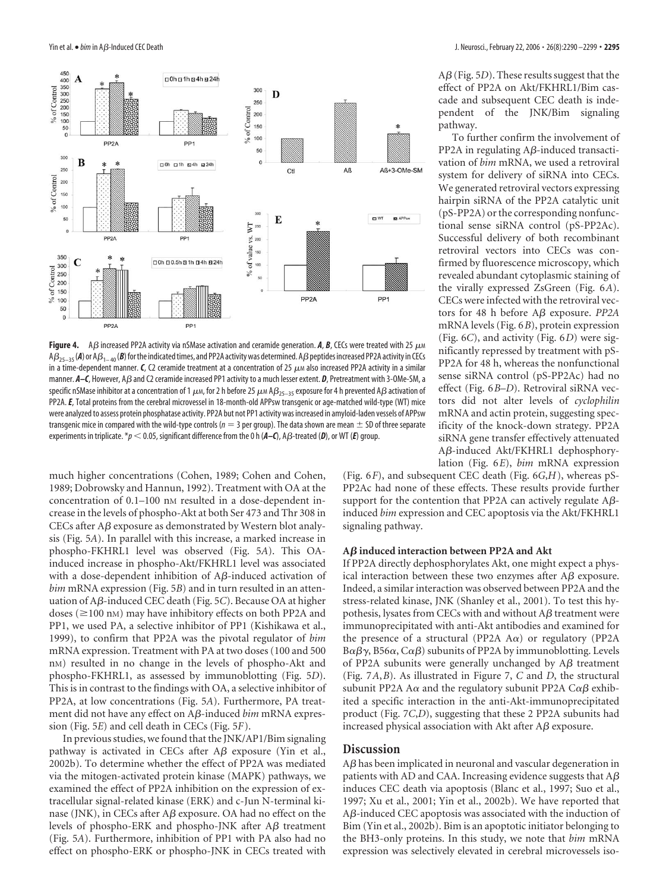

**Figure 4.** A  $\beta$  increased PP2A activity via nSMase activation and ceramide generation. **A**, **B**, CECs were treated with 25  $\mu$ M  $AB_{25-35}$  (A) or  $AB_{1-40}$  (B) for the indicated times, and PP2A activity was determined. A $\beta$  peptides increased PP2A activity in CECs in a time-dependent manner.  $C$ , C2 ceramide treatment at a concentration of 25  $\mu$  also increased PP2A activity in a similar manner. A–C, However, A $\beta$  and C2 ceramide increased PP1 activity to a much lesser extent. *D*, Pretreatment with 3-OMe-SM, a specific nSMase inhibitor at a concentration of 1  $\mu$ m, for 2 h before 25  $\mu$ m A $\beta_{25-35}$  exposure for 4 h prevented A $\beta$  activation of PP2A.*E*, Total proteins from the cerebral microvessel in 18-month-old APPsw transgenic or age-matched wild-type (WT) mice were analyzed to assess protein phosphatase activity. PP2A but not PP1 activity was increased in amyloid-laden vessels of APPsw transgenic mice in compared with the wild-type controls ( $n = 3$  per group). The data shown are mean  $\pm$  SD of three separate experiments in triplicate.  $*_p$  < 0.05, significant difference from the 0 h ( $A$ –C), A $\beta$ -treated (D), or WT (E) group.

much higher concentrations (Cohen, 1989; Cohen and Cohen, 1989; Dobrowsky and Hannun, 1992). Treatment with OA at the concentration of 0.1–100 nm resulted in a dose-dependent increase in the levels of phospho-Akt at both Ser 473 and Thr 308 in CECs after  $A\beta$  exposure as demonstrated by Western blot analysis (Fig. 5*A*). In parallel with this increase, a marked increase in phospho-FKHRL1 level was observed (Fig. 5*A*). This OAinduced increase in phospho-Akt/FKHRL1 level was associated with a dose-dependent inhibition of  $A\beta$ -induced activation of *bim* mRNA expression (Fig. 5*B*) and in turn resulted in an attenuation of Aß-induced CEC death (Fig. 5C). Because OA at higher doses ( $\geq$ 100 nM) may have inhibitory effects on both PP2A and PP1, we used PA, a selective inhibitor of PP1 (Kishikawa et al., 1999), to confirm that PP2A was the pivotal regulator of *bim* mRNA expression. Treatment with PA at two doses (100 and 500 nM) resulted in no change in the levels of phospho-Akt and phospho-FKHRL1, as assessed by immunoblotting (Fig. 5*D*). This is in contrast to the findings with OA, a selective inhibitor of PP2A, at low concentrations (Fig. 5*A*). Furthermore, PA treatment did not have any effect on Aß-induced *bim* mRNA expression (Fig. 5*E*) and cell death in CECs (Fig. 5*F*).

In previous studies, we found that the JNK/AP1/Bim signaling pathway is activated in CECs after  $\overrightarrow{AB}$  exposure (Yin et al., 2002b). To determine whether the effect of PP2A was mediated via the mitogen-activated protein kinase (MAPK) pathways, we examined the effect of PP2A inhibition on the expression of extracellular signal-related kinase (ERK) and c-Jun N-terminal kinase (JNK), in CECs after  $\mathbf{A}\boldsymbol{\beta}$  exposure. OA had no effect on the levels of phospho-ERK and phospho-JNK after  $A\beta$  treatment (Fig. 5*A*). Furthermore, inhibition of PP1 with PA also had no effect on phospho-ERK or phospho-JNK in CECs treated with

 $A\beta$  (Fig. 5*D*). These results suggest that the effect of PP2A on Akt/FKHRL1/Bim cascade and subsequent CEC death is independent of the JNK/Bim signaling pathway.

To further confirm the involvement of PP2A in regulating  $A\beta$ -induced transactivation of *bim* mRNA, we used a retroviral system for delivery of siRNA into CECs. We generated retroviral vectors expressing hairpin siRNA of the PP2A catalytic unit (pS-PP2A) or the corresponding nonfunctional sense siRNA control (pS-PP2Ac). Successful delivery of both recombinant retroviral vectors into CECs was confirmed by fluorescence microscopy, which revealed abundant cytoplasmic staining of the virally expressed ZsGreen (Fig. 6*A*). CECs were infected with the retroviral vectors for 48 h before  $A\beta$  exposure. *PP2A* mRNA levels (Fig. 6*B*), protein expression (Fig. 6*C*), and activity (Fig. 6*D*) were significantly repressed by treatment with pS-PP2A for 48 h, whereas the nonfunctional sense siRNA control (pS-PP2Ac) had no effect (Fig. 6*B*–*D*). Retroviral siRNA vectors did not alter levels of *cyclophilin* mRNA and actin protein, suggesting specificity of the knock-down strategy. PP2A siRNA gene transfer effectively attenuated Aβ-induced Akt/FKHRL1 dephosphorylation (Fig. 6*E*), *bim* mRNA expression

(Fig. 6*F*), and subsequent CEC death (Fig. 6*G*,*H*), whereas pS-PP2Ac had none of these effects. These results provide further support for the contention that PP2A can actively regulate  $A\beta$ induced *bim* expression and CEC apoptosis via the Akt/FKHRL1 signaling pathway.

#### **A induced interaction between PP2A and Akt**

If PP2A directly dephosphorylates Akt, one might expect a physical interaction between these two enzymes after  $\mathbf{A}\mathbf{\beta}$  exposure. Indeed, a similar interaction was observed between PP2A and the stress-related kinase, JNK (Shanley et al., 2001). To test this hypothesis, lysates from CECs with and without  $A\beta$  treatment were immunoprecipitated with anti-Akt antibodies and examined for the presence of a structural (PP2A A $\alpha$ ) or regulatory (PP2A B $\alpha$ β $\gamma$ , B56 $\alpha$ , C $\alpha$ β) subunits of PP2A by immunoblotting. Levels of PP2A subunits were generally unchanged by  $\overrightarrow{AB}$  treatment (Fig. 7*A*,*B*). As illustrated in Figure 7, *C* and *D*, the structural subunit PP2A A $\alpha$  and the regulatory subunit PP2A C $\alpha\beta$  exhibited a specific interaction in the anti-Akt-immunoprecipitated product (Fig. 7*C*,*D*), suggesting that these 2 PP2A subunits had increased physical association with Akt after  $\overrightarrow{AB}$  exposure.

### **Discussion**

 $A\beta$  has been implicated in neuronal and vascular degeneration in patients with AD and CAA. Increasing evidence suggests that  $A\beta$ induces CEC death via apoptosis (Blanc et al., 1997; Suo et al., 1997; Xu et al., 2001; Yin et al., 2002b). We have reported that  $A\beta$ -induced CEC apoptosis was associated with the induction of Bim (Yin et al., 2002b). Bim is an apoptotic initiator belonging to the BH3-only proteins. In this study, we note that *bim* mRNA expression was selectively elevated in cerebral microvessels iso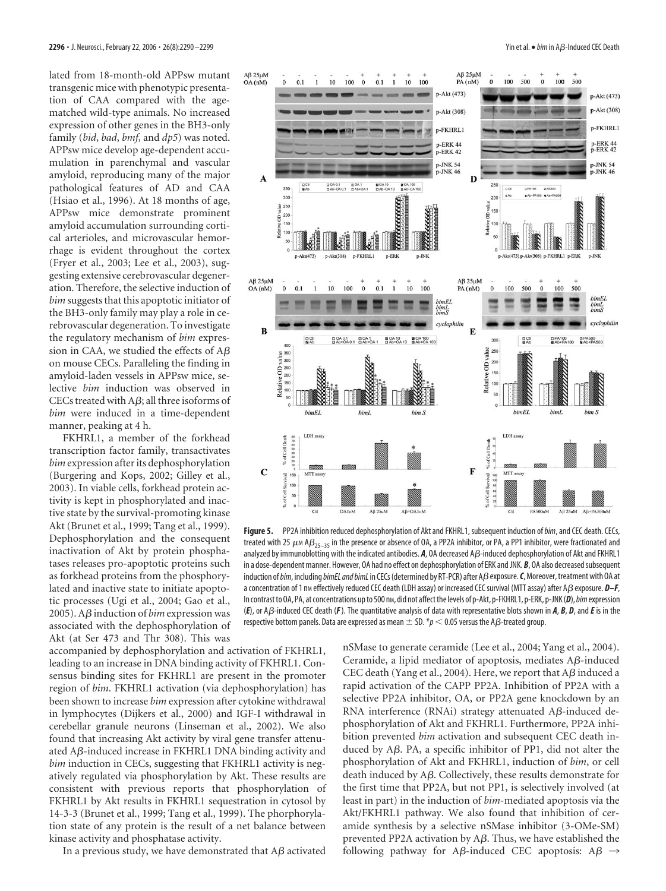lated from 18-month-old APPsw mutant transgenic mice with phenotypic presentation of CAA compared with the agematched wild-type animals. No increased expression of other genes in the BH3-only family (*bid*, *bad*, *bmf*, and *dp5*) was noted. APPsw mice develop age-dependent accumulation in parenchymal and vascular amyloid, reproducing many of the major pathological features of AD and CAA (Hsiao et al., 1996). At 18 months of age, APPsw mice demonstrate prominent amyloid accumulation surrounding cortical arterioles, and microvascular hemorrhage is evident throughout the cortex (Fryer et al., 2003; Lee et al., 2003), suggesting extensive cerebrovascular degeneration. Therefore, the selective induction of *bim* suggests that this apoptotic initiator of the BH3-only family may play a role in cerebrovascular degeneration. To investigate the regulatory mechanism of *bim* expression in CAA, we studied the effects of AB on mouse CECs. Paralleling the finding in amyloid-laden vessels in APPsw mice, selective *bim* induction was observed in CECs treated with  $A\beta$ ; all three isoforms of *bim* were induced in a time-dependent manner, peaking at 4 h.

FKHRL1, a member of the forkhead transcription factor family, transactivates *bim* expression after its dephosphorylation (Burgering and Kops, 2002; Gilley et al., 2003). In viable cells, forkhead protein activity is kept in phosphorylated and inactive state by the survival-promoting kinase Akt (Brunet et al., 1999; Tang et al., 1999). Dephosphorylation and the consequent inactivation of Akt by protein phosphatases releases pro-apoptotic proteins such as forkhead proteins from the phosphorylated and inactive state to initiate apoptotic processes (Ugi et al., 2004; Gao et al., 2005). A $\beta$  induction of *bim* expression was associated with the dephosphorylation of Akt (at Ser 473 and Thr 308). This was

accompanied by dephosphorylation and activation of FKHRL1, leading to an increase in DNA binding activity of FKHRL1. Consensus binding sites for FKHRL1 are present in the promoter region of *bim*. FKHRL1 activation (via dephosphorylation) has been shown to increase *bim* expression after cytokine withdrawal in lymphocytes (Dijkers et al., 2000) and IGF-I withdrawal in cerebellar granule neurons (Linseman et al., 2002). We also found that increasing Akt activity by viral gene transfer attenuated  $\overline{AB}$ -induced increase in FKHRL1 DNA binding activity and *bim* induction in CECs, suggesting that FKHRL1 activity is negatively regulated via phosphorylation by Akt. These results are consistent with previous reports that phosphorylation of FKHRL1 by Akt results in FKHRL1 sequestration in cytosol by 14-3-3 (Brunet et al., 1999; Tang et al., 1999). The phorphorylation state of any protein is the result of a net balance between kinase activity and phosphatase activity.

In a previous study, we have demonstrated that  $A\beta$  activated



**Figure 5.** PP2A inhibition reduced dephosphorylation of Akt and FKHRL1, subsequent induction of*bim*, and CEC death. CECs, treated with 25  $\mu$ M A $\beta_{25-35}$  in the presence or absence of OA, a PP2A inhibitor, or PA, a PP1 inhibitor, were fractionated and analyzed by immunoblotting with the indicated antibodies. A, OA decreased A<sub>/</sub>B-induced dephosphorylation of Akt and FKHRL1 in a dose-dependent manner. However, OA had no effect on dephosphorylation of ERK and JNK. **B**, OA also decreased subsequent induction of *bim*, including *bimEL and bimL* in CECs (determined by RT-PCR) after A $\beta$  exposure. *C*, Moreover, treatment with OA at a concentration of 1 nm effectively reduced CEC death (LDH assay) or increased CEC survival (MTT assay) after A $\beta$  exposure.  $D-F$ , In contrast to OA, PA, at concentrations up to 500 nm, did not affect the levels of p-Akt, p-FKHRL1, p-ERK, p-JNK (D), bim expression (*E*), or A-induced CEC death (*F*). The quantitative analysis of data with representative blots shown in *A*, *B*, *D*, and*E*is in the respective bottom panels. Data are expressed as mean  $\pm$  SD.  $*\!p$   $<$  0.05 versus the A $\beta$ -treated group.

nSMase to generate ceramide (Lee et al., 2004; Yang et al., 2004). Ceramide, a lipid mediator of apoptosis, mediates  $A\beta$ -induced CEC death (Yang et al., 2004). Here, we report that  $A\beta$  induced a rapid activation of the CAPP PP2A. Inhibition of PP2A with a selective PP2A inhibitor, OA, or PP2A gene knockdown by an RNA interference (RNAi) strategy attenuated  $\mathbf{A}\mathbf{\beta}$ -induced dephosphorylation of Akt and FKHRL1. Furthermore, PP2A inhibition prevented *bim* activation and subsequent CEC death induced by  $A\beta$ . PA, a specific inhibitor of PP1, did not alter the phosphorylation of Akt and FKHRL1, induction of *bim*, or cell death induced by  $A\beta$ . Collectively, these results demonstrate for the first time that PP2A, but not PP1, is selectively involved (at least in part) in the induction of *bim*-mediated apoptosis via the Akt/FKHRL1 pathway. We also found that inhibition of ceramide synthesis by a selective nSMase inhibitor (3-OMe-SM) prevented PP2A activation by  $A\beta$ . Thus, we have established the following pathway for A $\beta$ -induced CEC apoptosis: A $\beta \rightarrow$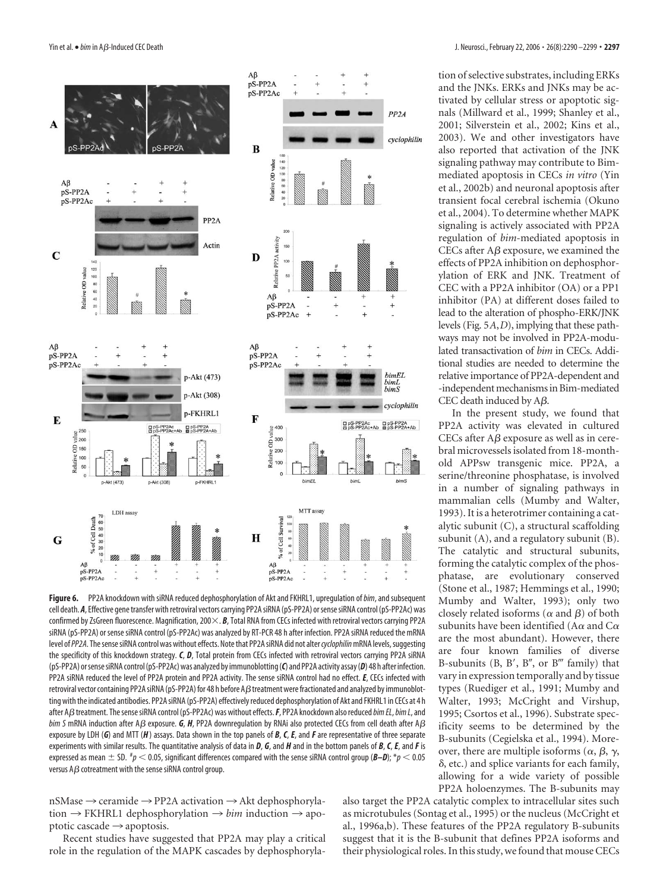

**Figure 6.** PP2A knockdown with siRNA reduced dephosphorylation of Akt and FKHRL1, upregulation of*bim*, and subsequent cell death. *A*, Effective gene transfer with retroviral vectors carrying PP2A siRNA (pS-PP2A) or sense siRNA control (pS-PP2Ac) was confirmed by ZsGreen fluorescence. Magnification, 200 $\times$ . **B**, Total RNA from CECs infected with retroviral vectors carrying PP2A siRNA (pS-PP2A) or sense siRNA control (pS-PP2Ac) was analyzed by RT-PCR 48 h after infection. PP2A siRNA reduced the mRNA level of PP2A. The sense siRNA control was without effects. Note that PP2A siRNA did not alter *cyclophilin* mRNA levels, suggesting the specificity of this knockdown strategy. *C*, *D*, Total protein from CECs infected with retroviral vectors carrying PP2A siRNA (pS-PP2A) orsensesiRNA control(pS-PP2Ac)was analyzed by immunoblotting(*C*) and PP2A activity assay(*D*) 48 h after infection. PP2A siRNA reduced the level of PP2A protein and PP2A activity. The sense siRNA control had no effect. *E*, CECs infected with retroviral vector containing PP2A siRNA (pS-PP2A) for 48 h before AB treatment were fractionated and analyzed by immunoblotting with the indicated antibodies. PP2A siRNA (pS-PP2A) effectively reduced dephosphorylation of Akt and FKHRL1 in CECs at 4 h after A $\beta$  treatment. The sense siRNA control (pS-PP2Ac) was without effects. F, PP2A knockdown also reduced *bim EL*, *bim L*, and  $b$ *im S* mRNA induction after A $\beta$  exposure. *G*, *H*, PP2A downregulation by RNAi also protected CECs from cell death after A $\beta$ exposure by LDH (*G*) and MTT (*H*) assays. Data shown in the top panels of *B*, *C*, *E*, and *F* are representative of three separate experiments with similar results. The quantitative analysis of data in *D*, *G*, and *H* and in the bottom panels of *B*, *C*, *E*, and*F* is expressed as mean  $\pm$  SD.  $^{*}\!p$   $<$  0.05, significant differences compared with the sense siRNA control group (*B–D*);  $^{*}\!p$   $<$  0.05 versus  $A\beta$  cotreatment with the sense siRNA control group.

 $nSMase \rightarrow$  ceramide  $\rightarrow$  PP2A activation  $\rightarrow$  Akt dephosphoryla- $\text{tion} \rightarrow \text{FKHRL1}$  dephosphorylation  $\rightarrow \text{bin}$  induction  $\rightarrow$  apoptotic cascade  $\rightarrow$  apoptosis.

Recent studies have suggested that PP2A may play a critical role in the regulation of the MAPK cascades by dephosphorylation of selective substrates, including ERKs and the JNKs. ERKs and JNKs may be activated by cellular stress or apoptotic signals (Millward et al., 1999; Shanley et al., 2001; Silverstein et al., 2002; Kins et al., 2003). We and other investigators have also reported that activation of the JNK signaling pathway may contribute to Bimmediated apoptosis in CECs *in vitro* (Yin et al., 2002b) and neuronal apoptosis after transient focal cerebral ischemia (Okuno et al., 2004). To determine whether MAPK signaling is actively associated with PP2A regulation of *bim*-mediated apoptosis in CECs after  $A\beta$  exposure, we examined the effects of PP2A inhibition on dephosphorylation of ERK and JNK. Treatment of CEC with a PP2A inhibitor (OA) or a PP1 inhibitor (PA) at different doses failed to lead to the alteration of phospho-ERK/JNK levels (Fig. 5*A*,*D*), implying that these pathways may not be involved in PP2A-modulated transactivation of *bim* in CECs. Additional studies are needed to determine the relative importance of PP2A-dependent and -independent mechanisms in Bim-mediated CEC death induced by  $A\beta$ .

In the present study, we found that PP2A activity was elevated in cultured CECs after  $A\beta$  exposure as well as in cerebral microvessels isolated from 18-monthold APPsw transgenic mice. PP2A, a serine/threonine phosphatase, is involved in a number of signaling pathways in mammalian cells (Mumby and Walter, 1993). It is a heterotrimer containing a catalytic subunit (C), a structural scaffolding subunit (A), and a regulatory subunit (B). The catalytic and structural subunits, forming the catalytic complex of the phosphatase, are evolutionary conserved (Stone et al., 1987; Hemmings et al., 1990; Mumby and Walter, 1993); only two closely related isoforms ( $\alpha$  and  $\beta$ ) of both subunits have been identified (A $\alpha$  and C $\alpha$ are the most abundant). However, there are four known families of diverse B-subunits (B, B', B", or B''' family) that vary in expression temporally and by tissue types (Ruediger et al., 1991; Mumby and Walter, 1993; McCright and Virshup, 1995; Csortos et al., 1996). Substrate specificity seems to be determined by the B-subunits (Cegielska et al., 1994). Moreover, there are multiple isoforms ( $\alpha$ ,  $\beta$ ,  $\gamma$ ,  $\delta$ , etc.) and splice variants for each family, allowing for a wide variety of possible PP2A holoenzymes. The B-subunits may

also target the PP2A catalytic complex to intracellular sites such as microtubules (Sontag et al., 1995) or the nucleus (McCright et al., 1996a,b). These features of the PP2A regulatory B-subunits suggest that it is the B-subunit that defines PP2A isoforms and their physiological roles. In this study, we found that mouse CECs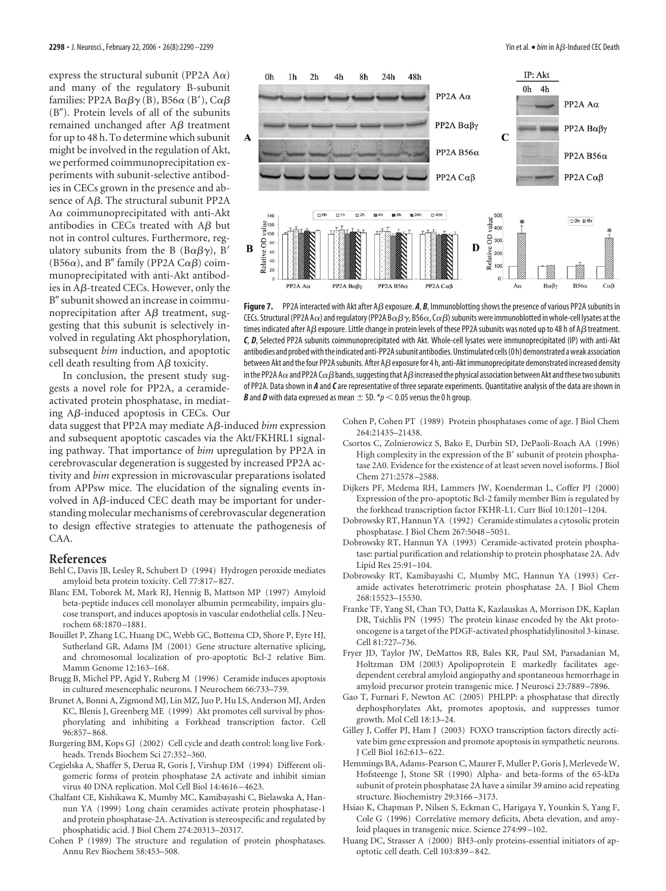express the structural subunit (PP2A  $A\alpha$ ) and many of the regulatory B-subunit families: PP2A B $\alpha\beta\gamma$  (B), B56 $\alpha$  (B'), C $\alpha\beta$  $(B'')$ . Protein levels of all of the subunits remained unchanged after  $A\beta$  treatment for up to 48 h. To determine which subunit might be involved in the regulation of Akt, we performed coimmunoprecipitation experiments with subunit-selective antibodies in CECs grown in the presence and absence of  $A\beta$ . The structural subunit PP2A A $\alpha$  coimmunoprecipitated with anti-Akt antibodies in CECs treated with  $A\beta$  but not in control cultures. Furthermore, regulatory subunits from the B  $(B\alpha\beta\gamma)$ , B' (B56 $\alpha$ ), and B" family (PP2A C $\alpha\beta$ ) coimmunoprecipitated with anti-Akt antibodies in  $\mathsf{A}\mathsf{B}\text{-treated}$  CECs. However, only the B" subunit showed an increase in coimmunoprecipitation after  $A\beta$  treatment, suggesting that this subunit is selectively involved in regulating Akt phosphorylation, subsequent *bim* induction, and apoptotic cell death resulting from  $A\beta$  toxicity.

In conclusion, the present study suggests a novel role for PP2A, a ceramideactivated protein phosphatase, in mediating  $A\beta$ -induced apoptosis in CECs. Our

data suggest that PP2A may mediate Aß-induced *bim* expression and subsequent apoptotic cascades via the Akt/FKHRL1 signaling pathway. That importance of *bim* upregulation by PP2A in cerebrovascular degeneration is suggested by increased PP2A activity and *bim* expression in microvascular preparations isolated from APPsw mice. The elucidation of the signaling events involved in  $A\beta$ -induced CEC death may be important for understanding molecular mechanisms of cerebrovascular degeneration to design effective strategies to attenuate the pathogenesis of CAA.

#### **References**

- Behl C, Davis JB, Lesley R, Schubert D (1994) Hydrogen peroxide mediates amyloid beta protein toxicity. Cell 77:817–827.
- Blanc EM, Toborek M, Mark RJ, Hennig B, Mattson MP (1997) Amyloid beta-peptide induces cell monolayer albumin permeability, impairs glucose transport, and induces apoptosis in vascular endothelial cells. J Neurochem 68:1870 –1881.
- Bouillet P, Zhang LC, Huang DC, Webb GC, Bottema CD, Shore P, Eyre HJ, Sutherland GR, Adams JM (2001) Gene structure alternative splicing, and chromosomal localization of pro-apoptotic Bcl-2 relative Bim. Mamm Genome 12:163–168.
- Brugg B, Michel PP, Agid Y, Ruberg M (1996) Ceramide induces apoptosis in cultured mesencephalic neurons. J Neurochem 66:733–739.
- Brunet A, Bonni A, Zigmond MJ, Lin MZ, Juo P, Hu LS, Anderson MJ, Arden KC, Blenis J, Greenberg ME (1999) Akt promotes cell survival by phosphorylating and inhibiting a Forkhead transcription factor. Cell 96:857–868.
- Burgering BM, Kops GJ (2002) Cell cycle and death control: long live Forkheads. Trends Biochem Sci 27:352–360.
- Cegielska A, Shaffer S, Derua R, Goris J, Virshup DM (1994) Different oligomeric forms of protein phosphatase 2A activate and inhibit simian virus 40 DNA replication. Mol Cell Biol 14:4616 –4623.
- Chalfant CE, Kishikawa K, Mumby MC, Kamibayashi C, Bielawska A, Hannun YA (1999) Long chain ceramides activate protein phosphatase-1 and protein phosphatase-2A. Activation is stereospecific and regulated by phosphatidic acid. J Biol Chem 274:20313–20317.
- Cohen P (1989) The structure and regulation of protein phosphatases. Annu Rev Biochem 58:453–508.



**Figure 7.** PP2A interacted with Akt after A $\beta$  exposure. A, B, Immunoblotting shows the presence of various PP2A subunits in CECs. Structural (PP2A A $\alpha$ ) and regulatory (PP2A B $\alpha\beta\gamma$ , B56 $\alpha$ , C $\alpha\beta$ ) subunits were immunoblotted in whole-cell lysates at the times indicated after A $\beta$  exposure. Little change in protein levels of these PP2A subunits was noted up to 48 h of A $\beta$  treatment. *C*, *D*, Selected PP2A subunits coimmunoprecipitated with Akt. Whole-cell lysates were immunoprecipitated (IP) with anti-Akt antibodies and probed with the indicated anti-PP2A subunit antibodies. Unstimulated cells (0 h) demonstrated a weak association between Akt and the four PP2A subunits. After AB exposure for 4 h, anti-Akt immunoprecipitate demonstrated increased density in the PP2A A $\alpha$  and PP2A C $\alpha\beta$  bands, suggesting that A $\beta$  increased the physical association between Akt and these two subunits of PP2A. Data shown in *A* and*C*are representative of three separate experiments. Quantitative analysis of the data are shown in *B* and *D* with data expressed as mean  $\pm$  SD. \* $p$  < 0.05 versus the 0 h group.

- Cohen P, Cohen PT (1989) Protein phosphatases come of age. J Biol Chem 264:21435–21438.
- Csortos C, Zolnierowicz S, Bako E, Durbin SD, DePaoli-Roach AA (1996) High complexity in the expression of the B' subunit of protein phosphatase 2A0. Evidence for the existence of at least seven novel isoforms. J Biol Chem 271:2578 –2588.
- Dijkers PF, Medema RH, Lammers JW, Koenderman L, Coffer PJ (2000) Expression of the pro-apoptotic Bcl-2 family member Bim is regulated by the forkhead transcription factor FKHR-L1. Curr Biol 10:1201–1204.
- Dobrowsky RT, Hannun YA (1992) Ceramide stimulates a cytosolic protein phosphatase. J Biol Chem 267:5048 –5051.
- Dobrowsky RT, Hannun YA (1993) Ceramide-activated protein phosphatase: partial purification and relationship to protein phosphatase 2A. Adv Lipid Res 25:91–104.
- Dobrowsky RT, Kamibayashi C, Mumby MC, Hannun YA (1993) Ceramide activates heterotrimeric protein phosphatase 2A. J Biol Chem 268:15523–15530.
- Franke TF, Yang SI, Chan TO, Datta K, Kazlauskas A, Morrison DK, Kaplan DR, Tsichlis PN (1995) The protein kinase encoded by the Akt protooncogene is a target of the PDGF-activated phosphatidylinositol 3-kinase. Cell 81:727–736.
- Fryer JD, Taylor JW, DeMattos RB, Bales KR, Paul SM, Parsadanian M, Holtzman DM (2003) Apolipoprotein E markedly facilitates agedependent cerebral amyloid angiopathy and spontaneous hemorrhage in amyloid precursor protein transgenic mice. J Neurosci 23:7889 –7896.
- Gao T, Furnari F, Newton AC (2005) PHLPP: a phosphatase that directly dephosphorylates Akt, promotes apoptosis, and suppresses tumor growth. Mol Cell 18:13–24.
- Gilley J, Coffer PJ, Ham J (2003) FOXO transcription factors directly activate bim gene expression and promote apoptosis in sympathetic neurons. J Cell Biol 162:613–622.
- Hemmings BA, Adams-Pearson C, Maurer F, Muller P, Goris J, Merlevede W, Hofsteenge J, Stone SR (1990) Alpha- and beta-forms of the 65-kDa subunit of protein phosphatase 2A have a similar 39 amino acid repeating structure. Biochemistry 29:3166 –3173.
- Hsiao K, Chapman P, Nilsen S, Eckman C, Harigaya Y, Younkin S, Yang F, Cole G (1996) Correlative memory deficits, Abeta elevation, and amyloid plaques in transgenic mice. Science 274:99 –102.
- Huang DC, Strasser A (2000) BH3-only proteins-essential initiators of apoptotic cell death. Cell 103:839 –842.